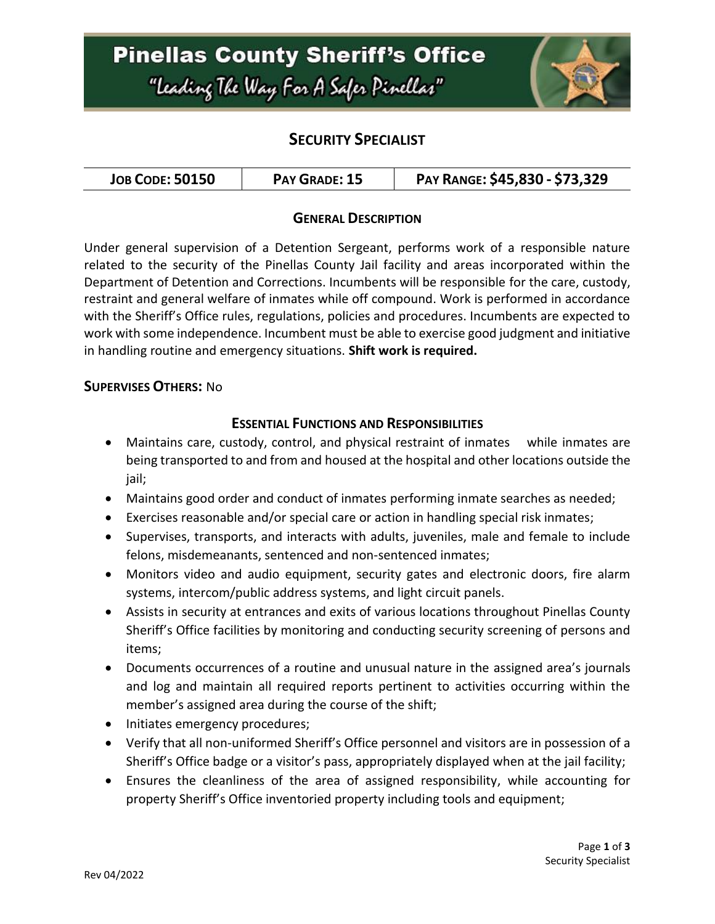# **Pinellas County Sheriff's Office** "Leading The Way For A Safer Pinellar"



## **SECURITY SPECIALIST**

| <b>JOB CODE: 50150</b><br>PAY GRADE: 15 | PAY RANGE: \$45,830 - \$73,329 |
|-----------------------------------------|--------------------------------|
|-----------------------------------------|--------------------------------|

### **GENERAL DESCRIPTION**

Under general supervision of a Detention Sergeant, performs work of a responsible nature related to the security of the Pinellas County Jail facility and areas incorporated within the Department of Detention and Corrections. Incumbents will be responsible for the care, custody, restraint and general welfare of inmates while off compound. Work is performed in accordance with the Sheriff's Office rules, regulations, policies and procedures. Incumbents are expected to work with some independence. Incumbent must be able to exercise good judgment and initiative in handling routine and emergency situations. **Shift work is required.** 

#### **SUPERVISES OTHERS:** No

#### **ESSENTIAL FUNCTIONS AND RESPONSIBILITIES**

- Maintains care, custody, control, and physical restraint of inmates while inmates are being transported to and from and housed at the hospital and other locations outside the jail;
- Maintains good order and conduct of inmates performing inmate searches as needed;
- Exercises reasonable and/or special care or action in handling special risk inmates;
- Supervises, transports, and interacts with adults, juveniles, male and female to include felons, misdemeanants, sentenced and non-sentenced inmates;
- Monitors video and audio equipment, security gates and electronic doors, fire alarm systems, intercom/public address systems, and light circuit panels.
- Assists in security at entrances and exits of various locations throughout Pinellas County Sheriff's Office facilities by monitoring and conducting security screening of persons and items;
- Documents occurrences of a routine and unusual nature in the assigned area's journals and log and maintain all required reports pertinent to activities occurring within the member's assigned area during the course of the shift;
- Initiates emergency procedures;
- Verify that all non-uniformed Sheriff's Office personnel and visitors are in possession of a Sheriff's Office badge or a visitor's pass, appropriately displayed when at the jail facility;
- Ensures the cleanliness of the area of assigned responsibility, while accounting for property Sheriff's Office inventoried property including tools and equipment;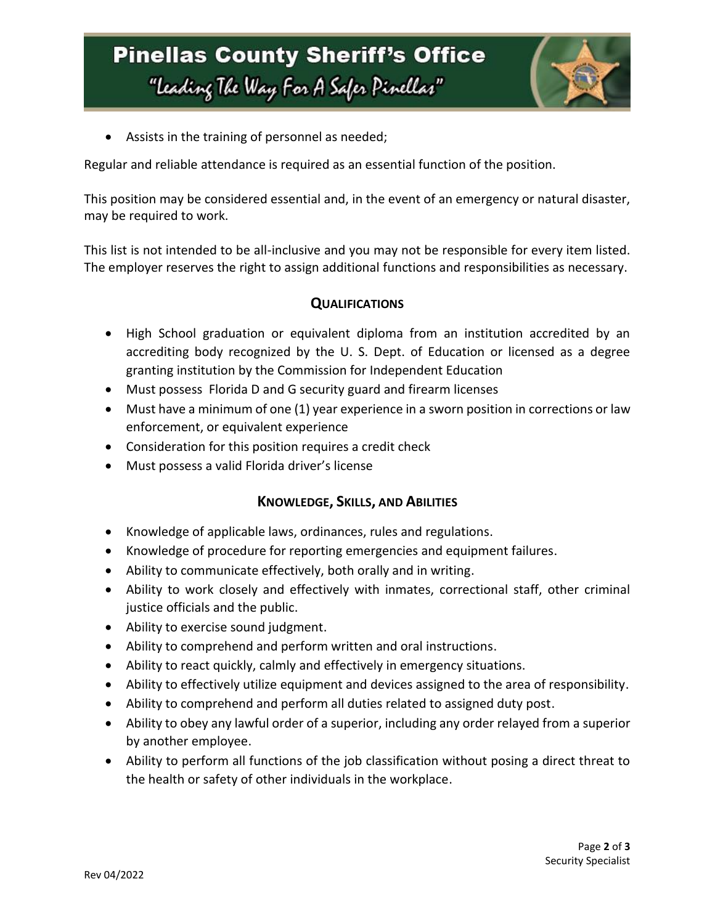# **Pinellas County Sheriff's Office** "Leading The Way For A Safer Pinellar"



Assists in the training of personnel as needed;

Regular and reliable attendance is required as an essential function of the position.

This position may be considered essential and, in the event of an emergency or natural disaster, may be required to work.

This list is not intended to be all-inclusive and you may not be responsible for every item listed. The employer reserves the right to assign additional functions and responsibilities as necessary.

### **QUALIFICATIONS**

- High School graduation or equivalent diploma from an institution accredited by an accrediting body recognized by the U. S. Dept. of Education or licensed as a degree granting institution by the Commission for Independent Education
- Must possess Florida D and G security guard and firearm licenses
- Must have a minimum of one (1) year experience in a sworn position in corrections or law enforcement, or equivalent experience
- Consideration for this position requires a credit check
- Must possess a valid Florida driver's license

#### **KNOWLEDGE, SKILLS, AND ABILITIES**

- Knowledge of applicable laws, ordinances, rules and regulations.
- Knowledge of procedure for reporting emergencies and equipment failures.
- Ability to communicate effectively, both orally and in writing.
- Ability to work closely and effectively with inmates, correctional staff, other criminal justice officials and the public.
- Ability to exercise sound judgment.
- Ability to comprehend and perform written and oral instructions.
- Ability to react quickly, calmly and effectively in emergency situations.
- Ability to effectively utilize equipment and devices assigned to the area of responsibility.
- Ability to comprehend and perform all duties related to assigned duty post.
- Ability to obey any lawful order of a superior, including any order relayed from a superior by another employee.
- Ability to perform all functions of the job classification without posing a direct threat to the health or safety of other individuals in the workplace.